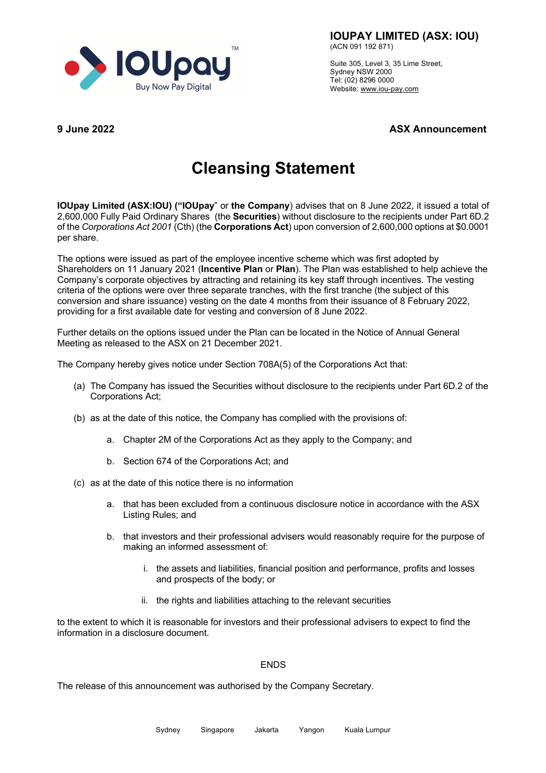

**IOUPAY LIMITED (ASX: IOU)**

(ACN 091 192 871)

Suite 305, Level 3, 35 Lime Street, Sydney NSW 2000 Tel: (02) 8296 0000 Website: www.iou-pay.com

**9 June 2022 ASX Announcement**

## **Cleansing Statement**

**IOUpay Limited (ASX:IOU) ("IOUpay**" or **the Company**) advises that on 8 June 2022, it issued a total of 2,600,000 Fully Paid Ordinary Shares (the **Securities**) without disclosure to the recipients under Part 6D.2 of the *Corporations Act 2001* (Cth) (the **Corporations Act**) upon conversion of 2,600,000 options at \$0.0001 per share.

The options were issued as part of the employee incentive scheme which was first adopted by Shareholders on 11 January 2021 (**Incentive Plan** or **Plan**). The Plan was established to help achieve the Company's corporate objectives by attracting and retaining its key staff through incentives. The vesting criteria of the options were over three separate tranches, with the first tranche (the subject of this conversion and share issuance) vesting on the date 4 months from their issuance of 8 February 2022, providing for a first available date for vesting and conversion of 8 June 2022.

Further details on the options issued under the Plan can be located in the Notice of Annual General Meeting as released to the ASX on 21 December 2021.

The Company hereby gives notice under Section 708A(5) of the Corporations Act that:

- (a) The Company has issued the Securities without disclosure to the recipients under Part 6D.2 of the Corporations Act;
- (b) as at the date of this notice, the Company has complied with the provisions of:
	- a. Chapter 2M of the Corporations Act as they apply to the Company; and
	- b. Section 674 of the Corporations Act; and
- (c) as at the date of this notice there is no information
	- a. that has been excluded from a continuous disclosure notice in accordance with the ASX Listing Rules; and
	- b. that investors and their professional advisers would reasonably require for the purpose of making an informed assessment of:
		- i. the assets and liabilities, financial position and performance, profits and losses and prospects of the body; or
		- ii. the rights and liabilities attaching to the relevant securities

to the extent to which it is reasonable for investors and their professional advisers to expect to find the information in a disclosure document.

## ENDS

The release of this announcement was authorised by the Company Secretary.